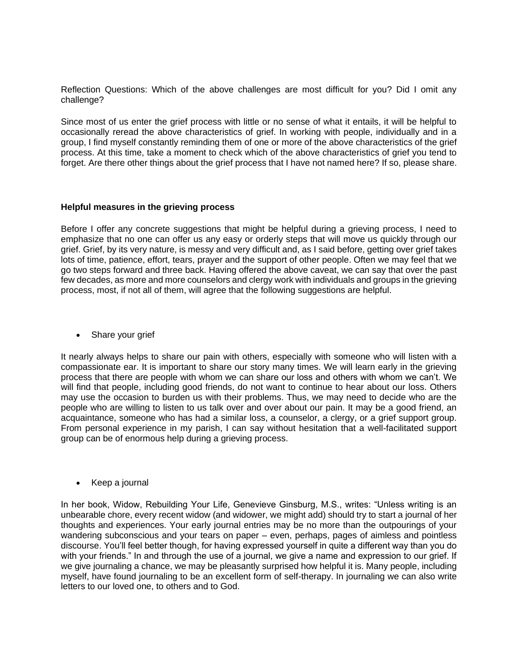Reflection Questions: Which of the above challenges are most difficult for you? Did I omit any challenge?

Since most of us enter the grief process with little or no sense of what it entails, it will be helpful to occasionally reread the above characteristics of grief. In working with people, individually and in a group, I find myself constantly reminding them of one or more of the above characteristics of the grief process. At this time, take a moment to check which of the above characteristics of grief you tend to forget. Are there other things about the grief process that I have not named here? If so, please share.

## **Helpful measures in the grieving process**

Before I offer any concrete suggestions that might be helpful during a grieving process, I need to emphasize that no one can offer us any easy or orderly steps that will move us quickly through our grief. Grief, by its very nature, is messy and very difficult and, as I said before, getting over grief takes lots of time, patience, effort, tears, prayer and the support of other people. Often we may feel that we go two steps forward and three back. Having offered the above caveat, we can say that over the past few decades, as more and more counselors and clergy work with individuals and groups in the grieving process, most, if not all of them, will agree that the following suggestions are helpful.

• Share your grief

It nearly always helps to share our pain with others, especially with someone who will listen with a compassionate ear. It is important to share our story many times. We will learn early in the grieving process that there are people with whom we can share our loss and others with whom we can't. We will find that people, including good friends, do not want to continue to hear about our loss. Others may use the occasion to burden us with their problems. Thus, we may need to decide who are the people who are willing to listen to us talk over and over about our pain. It may be a good friend, an acquaintance, someone who has had a similar loss, a counselor, a clergy, or a grief support group. From personal experience in my parish, I can say without hesitation that a well-facilitated support group can be of enormous help during a grieving process.

• Keep a journal

In her book, Widow, Rebuilding Your Life, Genevieve Ginsburg, M.S., writes: "Unless writing is an unbearable chore, every recent widow (and widower, we might add) should try to start a journal of her thoughts and experiences. Your early journal entries may be no more than the outpourings of your wandering subconscious and your tears on paper – even, perhaps, pages of aimless and pointless discourse. You'll feel better though, for having expressed yourself in quite a different way than you do with your friends." In and through the use of a journal, we give a name and expression to our grief. If we give journaling a chance, we may be pleasantly surprised how helpful it is. Many people, including myself, have found journaling to be an excellent form of self-therapy. In journaling we can also write letters to our loved one, to others and to God.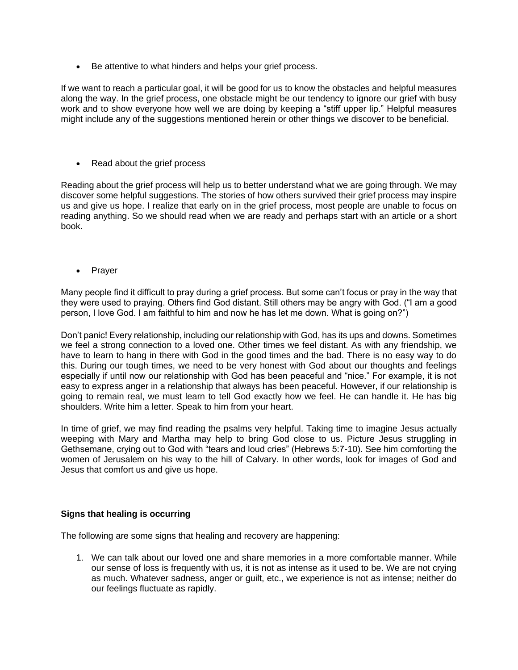• Be attentive to what hinders and helps your grief process.

If we want to reach a particular goal, it will be good for us to know the obstacles and helpful measures along the way. In the grief process, one obstacle might be our tendency to ignore our grief with busy work and to show everyone how well we are doing by keeping a "stiff upper lip." Helpful measures might include any of the suggestions mentioned herein or other things we discover to be beneficial.

• Read about the grief process

Reading about the grief process will help us to better understand what we are going through. We may discover some helpful suggestions. The stories of how others survived their grief process may inspire us and give us hope. I realize that early on in the grief process, most people are unable to focus on reading anything. So we should read when we are ready and perhaps start with an article or a short book.

**Prayer** 

Many people find it difficult to pray during a grief process. But some can't focus or pray in the way that they were used to praying. Others find God distant. Still others may be angry with God. ("I am a good person, I love God. I am faithful to him and now he has let me down. What is going on?")

Don't panic! Every relationship, including our relationship with God, has its ups and downs. Sometimes we feel a strong connection to a loved one. Other times we feel distant. As with any friendship, we have to learn to hang in there with God in the good times and the bad. There is no easy way to do this. During our tough times, we need to be very honest with God about our thoughts and feelings especially if until now our relationship with God has been peaceful and "nice." For example, it is not easy to express anger in a relationship that always has been peaceful. However, if our relationship is going to remain real, we must learn to tell God exactly how we feel. He can handle it. He has big shoulders. Write him a letter. Speak to him from your heart.

In time of grief, we may find reading the psalms very helpful. Taking time to imagine Jesus actually weeping with Mary and Martha may help to bring God close to us. Picture Jesus struggling in Gethsemane, crying out to God with "tears and loud cries" (Hebrews 5:7-10). See him comforting the women of Jerusalem on his way to the hill of Calvary. In other words, look for images of God and Jesus that comfort us and give us hope.

## **Signs that healing is occurring**

The following are some signs that healing and recovery are happening:

1. We can talk about our loved one and share memories in a more comfortable manner. While our sense of loss is frequently with us, it is not as intense as it used to be. We are not crying as much. Whatever sadness, anger or guilt, etc., we experience is not as intense; neither do our feelings fluctuate as rapidly.